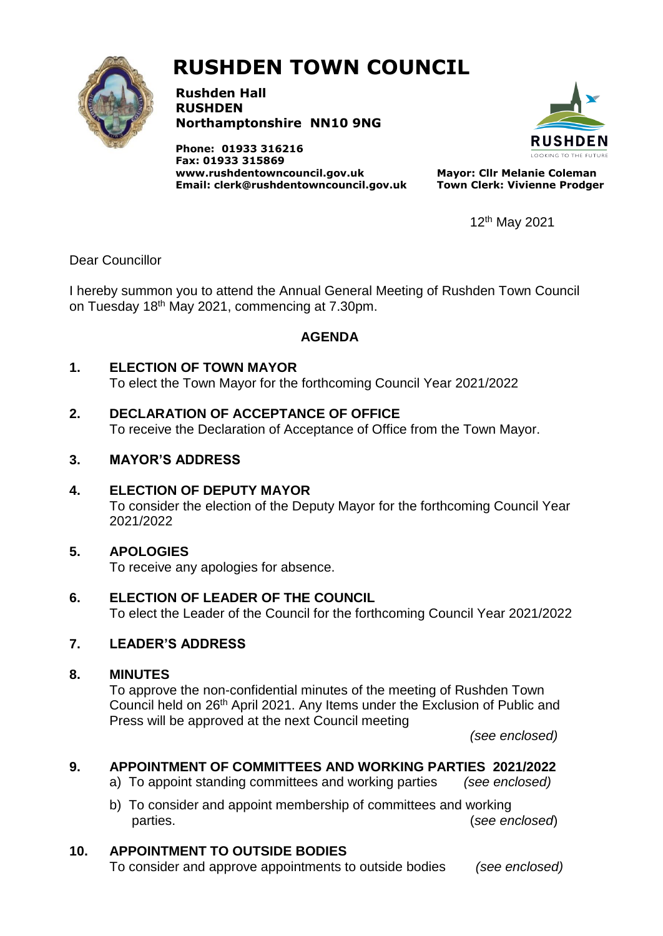

# **RUSHDEN TOWN COUNCIL**

**Rushden Hall RUSHDEN Northamptonshire NN10 9NG**

**Phone: 01933 316216 Fax: 01933 315869 [www.rushdentowncouncil.gov.uk](http://www.rushdentowncouncil.gov.uk/) Email: clerk@rushdentowncouncil.gov.uk**



**Mayor: Cllr Melanie Coleman Town Clerk: Vivienne Prodger**

12th May 2021

Dear Councillor

I hereby summon you to attend the Annual General Meeting of Rushden Town Council on Tuesday 18<sup>th</sup> May 2021, commencing at 7.30pm.

## **AGENDA**

## **1. ELECTION OF TOWN MAYOR**

To elect the Town Mayor for the forthcoming Council Year 2021/2022

## **2. DECLARATION OF ACCEPTANCE OF OFFICE**

To receive the Declaration of Acceptance of Office from the Town Mayor.

## **3. MAYOR'S ADDRESS**

#### **4. ELECTION OF DEPUTY MAYOR**

To consider the election of the Deputy Mayor for the forthcoming Council Year 2021/2022

# **5. APOLOGIES**

To receive any apologies for absence.

#### **6. ELECTION OF LEADER OF THE COUNCIL**

To elect the Leader of the Council for the forthcoming Council Year 2021/2022

# **7. LEADER'S ADDRESS**

#### **8. MINUTES**

To approve the non-confidential minutes of the meeting of Rushden Town Council held on 26<sup>th</sup> April 2021. Any Items under the Exclusion of Public and Press will be approved at the next Council meeting

*(see enclosed)*

# **9. APPOINTMENT OF COMMITTEES AND WORKING PARTIES 2021/2022**

- a) To appoint standing committees and working parties *(see enclosed)*
- b) To consider and appoint membership of committees and working parties. (*see enclosed*)

# **10. APPOINTMENT TO OUTSIDE BODIES**

To consider and approve appointments to outside bodies *(see enclosed)*